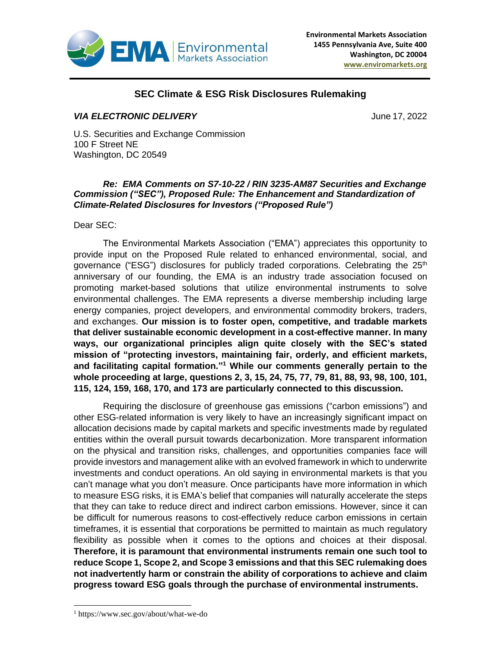

## **SEC Climate & ESG Risk Disclosures Rulemaking**

## *VIA ELECTRONIC DELIVERY* June 17, 2022

U.S. Securities and Exchange Commission 100 F Street NE Washington, DC 20549

## *Re: EMA Comments on S7-10-22 / RIN 3235-AM87 Securities and Exchange Commission ("SEC"), Proposed Rule: The Enhancement and Standardization of Climate-Related Disclosures for Investors ("Proposed Rule")*

Dear SEC:

The Environmental Markets Association ("EMA") appreciates this opportunity to provide input on the Proposed Rule related to enhanced environmental, social, and governance ("ESG") disclosures for publicly traded corporations. Celebrating the 25<sup>th</sup> anniversary of our founding, the EMA is an industry trade association focused on promoting market-based solutions that utilize environmental instruments to solve environmental challenges. The EMA represents a diverse membership including large energy companies, project developers, and environmental commodity brokers, traders, and exchanges. **Our mission is to foster open, competitive, and tradable markets that deliver sustainable economic development in a cost-effective manner. In many ways, our organizational principles align quite closely with the SEC's stated mission of "protecting investors, maintaining fair, orderly, and efficient markets, and facilitating capital formation." <sup>1</sup> While our comments generally pertain to the whole proceeding at large, questions 2, 3, 15, 24, 75, 77, 79, 81, 88, 93, 98, 100, 101, 115, 124, 159, 168, 170, and 173 are particularly connected to this discussion.**

Requiring the disclosure of greenhouse gas emissions ("carbon emissions") and other ESG-related information is very likely to have an increasingly significant impact on allocation decisions made by capital markets and specific investments made by regulated entities within the overall pursuit towards decarbonization. More transparent information on the physical and transition risks, challenges, and opportunities companies face will provide investors and management alike with an evolved framework in which to underwrite investments and conduct operations. An old saying in environmental markets is that you can't manage what you don't measure. Once participants have more information in which to measure ESG risks, it is EMA's belief that companies will naturally accelerate the steps that they can take to reduce direct and indirect carbon emissions. However, since it can be difficult for numerous reasons to cost-effectively reduce carbon emissions in certain timeframes, it is essential that corporations be permitted to maintain as much regulatory flexibility as possible when it comes to the options and choices at their disposal. **Therefore, it is paramount that environmental instruments remain one such tool to reduce Scope 1, Scope 2, and Scope 3 emissions and that this SEC rulemaking does not inadvertently harm or constrain the ability of corporations to achieve and claim progress toward ESG goals through the purchase of environmental instruments.**

<sup>1</sup> https://www.sec.gov/about/what-we-do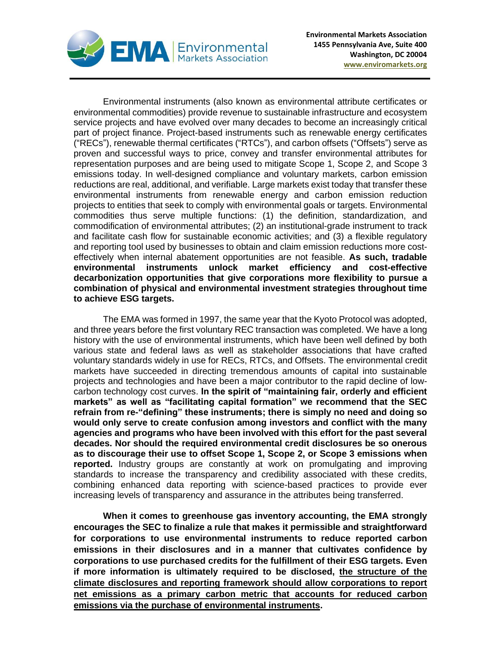

Environmental instruments (also known as environmental attribute certificates or environmental commodities) provide revenue to sustainable infrastructure and ecosystem service projects and have evolved over many decades to become an increasingly critical part of project finance. Project-based instruments such as renewable energy certificates ("RECs"), renewable thermal certificates ("RTCs"), and carbon offsets ("Offsets") serve as proven and successful ways to price, convey and transfer environmental attributes for representation purposes and are being used to mitigate Scope 1, Scope 2, and Scope 3 emissions today. In well-designed compliance and voluntary markets, carbon emission reductions are real, additional, and verifiable. Large markets exist today that transfer these environmental instruments from renewable energy and carbon emission reduction projects to entities that seek to comply with environmental goals or targets. Environmental commodities thus serve multiple functions: (1) the definition, standardization, and commodification of environmental attributes; (2) an institutional-grade instrument to track and facilitate cash flow for sustainable economic activities; and (3) a flexible regulatory and reporting tool used by businesses to obtain and claim emission reductions more costeffectively when internal abatement opportunities are not feasible. **As such, tradable environmental instruments unlock market efficiency and cost-effective decarbonization opportunities that give corporations more flexibility to pursue a combination of physical and environmental investment strategies throughout time to achieve ESG targets.**

The EMA was formed in 1997, the same year that the Kyoto Protocol was adopted, and three years before the first voluntary REC transaction was completed. We have a long history with the use of environmental instruments, which have been well defined by both various state and federal laws as well as stakeholder associations that have crafted voluntary standards widely in use for RECs, RTCs, and Offsets. The environmental credit markets have succeeded in directing tremendous amounts of capital into sustainable projects and technologies and have been a major contributor to the rapid decline of lowcarbon technology cost curves. **In the spirit of "maintaining fair, orderly and efficient markets" as well as "facilitating capital formation" we recommend that the SEC refrain from re-"defining" these instruments; there is simply no need and doing so would only serve to create confusion among investors and conflict with the many agencies and programs who have been involved with this effort for the past several decades. Nor should the required environmental credit disclosures be so onerous as to discourage their use to offset Scope 1, Scope 2, or Scope 3 emissions when reported.** Industry groups are constantly at work on promulgating and improving standards to increase the transparency and credibility associated with these credits, combining enhanced data reporting with science-based practices to provide ever increasing levels of transparency and assurance in the attributes being transferred.

**When it comes to greenhouse gas inventory accounting, the EMA strongly encourages the SEC to finalize a rule that makes it permissible and straightforward for corporations to use environmental instruments to reduce reported carbon emissions in their disclosures and in a manner that cultivates confidence by corporations to use purchased credits for the fulfillment of their ESG targets. Even if more information is ultimately required to be disclosed, the structure of the climate disclosures and reporting framework should allow corporations to report net emissions as a primary carbon metric that accounts for reduced carbon emissions via the purchase of environmental instruments.**